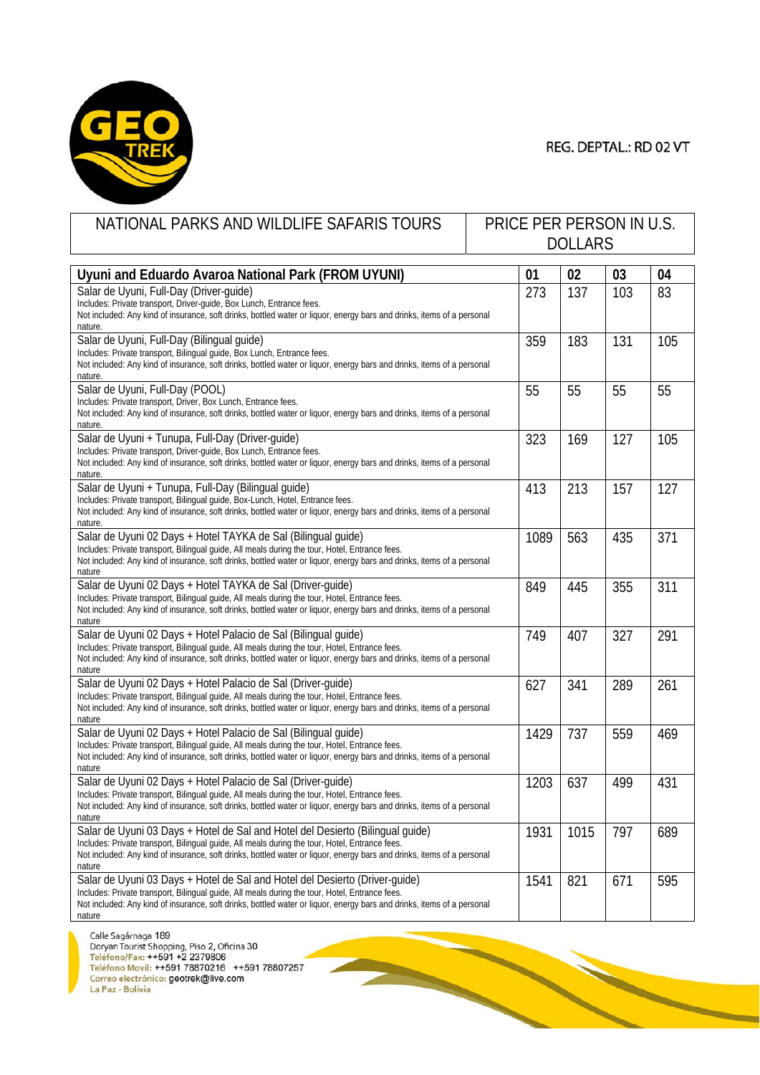

REG. DEPTAL.: RD 02 VT

| NATIONAL PARKS AND WILDLIFE SAFARIS TOURS                                                                                                                                                                                                                                                                            | PRICE PER PERSON IN U.S.<br><b>DOLLARS</b> |      |     |     |
|----------------------------------------------------------------------------------------------------------------------------------------------------------------------------------------------------------------------------------------------------------------------------------------------------------------------|--------------------------------------------|------|-----|-----|
| Uyuni and Eduardo Avaroa National Park (FROM UYUNI)                                                                                                                                                                                                                                                                  | 01                                         | 02   | 03  | 04  |
| Salar de Uyuni, Full-Day (Driver-guide)<br>Includes: Private transport, Driver-guide, Box Lunch, Entrance fees.<br>Not included: Any kind of insurance, soft drinks, bottled water or liquor, energy bars and drinks, items of a personal<br>nature.                                                                 | 273                                        | 137  | 103 | 83  |
| Salar de Uyuni, Full-Day (Bilingual guide)<br>Includes: Private transport, Bilingual guide, Box Lunch, Entrance fees.<br>Not included: Any kind of insurance, soft drinks, bottled water or liquor, energy bars and drinks, items of a personal<br>nature.                                                           | 359                                        | 183  | 131 | 105 |
| Salar de Uyuni, Full-Day (POOL)<br>Includes: Private transport, Driver, Box Lunch, Entrance fees.<br>Not included: Any kind of insurance, soft drinks, bottled water or liquor, energy bars and drinks, items of a personal<br>nature.                                                                               | 55                                         | 55   | 55  | 55  |
| Salar de Uyuni + Tunupa, Full-Day (Driver-guide)<br>Includes: Private transport, Driver-guide, Box Lunch, Entrance fees.<br>Not included: Any kind of insurance, soft drinks, bottled water or liquor, energy bars and drinks, items of a personal<br>nature.                                                        | 323                                        | 169  | 127 | 105 |
| Salar de Uyuni + Tunupa, Full-Day (Bilingual guide)<br>Includes: Private transport, Bilingual guide, Box-Lunch, Hotel, Entrance fees.<br>Not included: Any kind of insurance, soft drinks, bottled water or liquor, energy bars and drinks, items of a personal<br>nature.                                           | 413                                        | 213  | 157 | 127 |
| Salar de Uyuni 02 Days + Hotel TAYKA de Sal (Bilingual guide)<br>Includes: Private transport, Bilingual guide, All meals during the tour, Hotel, Entrance fees.<br>Not included: Any kind of insurance, soft drinks, bottled water or liquor, energy bars and drinks, items of a personal<br>nature                  | 1089                                       | 563  | 435 | 371 |
| Salar de Uyuni 02 Days + Hotel TAYKA de Sal (Driver-guide)<br>Includes: Private transport, Bilingual guide, All meals during the tour, Hotel, Entrance fees.<br>Not included: Any kind of insurance, soft drinks, bottled water or liquor, energy bars and drinks, items of a personal<br>nature                     | 849                                        | 445  | 355 | 311 |
| Salar de Uyuni 02 Days + Hotel Palacio de Sal (Bilingual guide)<br>Includes: Private transport, Bilingual guide, All meals during the tour, Hotel, Entrance fees.<br>Not included: Any kind of insurance, soft drinks, bottled water or liquor, energy bars and drinks, items of a personal<br>nature                | 749                                        | 407  | 327 | 291 |
| Salar de Uyuni 02 Days + Hotel Palacio de Sal (Driver-guide)<br>Includes: Private transport, Bilingual guide, All meals during the tour, Hotel, Entrance fees.<br>Not included: Any kind of insurance, soft drinks, bottled water or liquor, energy bars and drinks, items of a personal<br>nature                   | 627                                        | 341  | 289 | 261 |
| Salar de Uyuni 02 Days + Hotel Palacio de Sal (Bilingual guide)<br>Includes: Private transport, Bilingual guide, All meals during the tour, Hotel, Entrance fees.<br>Not included: Any kind of insurance, soft drinks, bottled water or liquor, energy bars and drinks, items of a personal<br>nature                | 1429                                       | 737  | 559 | 469 |
| Salar de Uyuni 02 Days + Hotel Palacio de Sal (Driver-guide)<br>Includes: Private transport, Bilingual guide, All meals during the tour, Hotel, Entrance fees.<br>Not included: Any kind of insurance, soft drinks, bottled water or liquor, energy bars and drinks, items of a personal<br>nature                   | 1203                                       | 637  | 499 | 431 |
| Salar de Uyuni 03 Days + Hotel de Sal and Hotel del Desierto (Bilingual guide)<br>Includes: Private transport, Bilingual guide, All meals during the tour, Hotel, Entrance fees.<br>Not included: Any kind of insurance, soft drinks, bottled water or liguor, energy bars and drinks, items of a personal<br>nature | 1931                                       | 1015 | 797 | 689 |
| Salar de Uyuni 03 Days + Hotel de Sal and Hotel del Desierto (Driver-guide)<br>Includes: Private transport, Bilingual guide, All meals during the tour, Hotel, Entrance fees.<br>Not included: Any kind of insurance, soft drinks, bottled water or liquor, energy bars and drinks, items of a personal<br>nature    | 1541                                       | 821  | 671 | 595 |

**Particularly**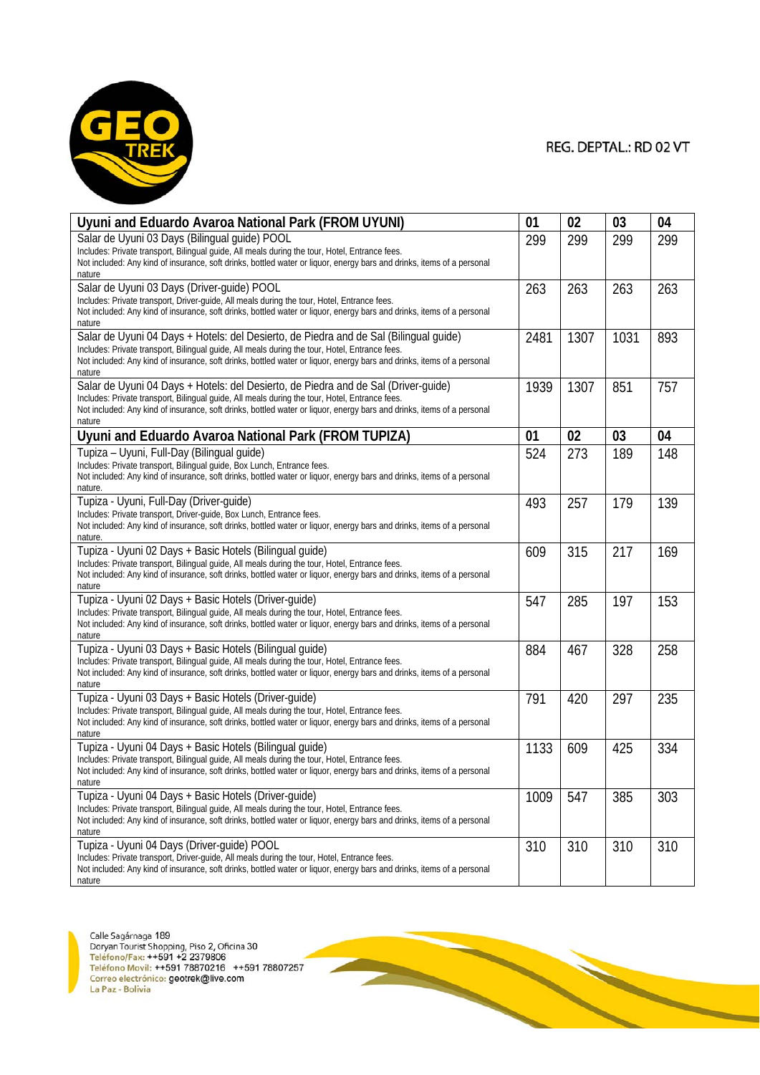

| Uyuni and Eduardo Avaroa National Park (FROM UYUNI)                                                                                                                                                                                                                                                                         | 01   | 02   | 03   | 04  |
|-----------------------------------------------------------------------------------------------------------------------------------------------------------------------------------------------------------------------------------------------------------------------------------------------------------------------------|------|------|------|-----|
| Salar de Uyuni 03 Days (Bilingual quide) POOL<br>Includes: Private transport, Bilingual guide, All meals during the tour, Hotel, Entrance fees.<br>Not included: Any kind of insurance, soft drinks, bottled water or liquor, energy bars and drinks, items of a personal<br>nature                                         | 299  | 299  | 299  | 299 |
| Salar de Uyuni 03 Days (Driver-guide) POOL<br>Includes: Private transport, Driver-quide, All meals during the tour, Hotel, Entrance fees.<br>Not included: Any kind of insurance, soft drinks, bottled water or liquor, energy bars and drinks, items of a personal<br>nature                                               | 263  | 263  | 263  | 263 |
| Salar de Uyuni 04 Days + Hotels: del Desierto, de Piedra and de Sal (Bilingual guide)<br>Includes: Private transport, Bilingual guide, All meals during the tour, Hotel, Entrance fees.<br>Not included: Any kind of insurance, soft drinks, bottled water or liquor, energy bars and drinks, items of a personal<br>nature | 2481 | 1307 | 1031 | 893 |
| Salar de Uyuni 04 Days + Hotels: del Desierto, de Piedra and de Sal (Driver-guide)<br>Includes: Private transport, Bilingual guide, All meals during the tour, Hotel, Entrance fees.<br>Not included: Any kind of insurance, soft drinks, bottled water or liquor, energy bars and drinks, items of a personal<br>nature    | 1939 | 1307 | 851  | 757 |
| Uyuni and Eduardo Avaroa National Park (FROM TUPIZA)                                                                                                                                                                                                                                                                        | 01   | 02   | 03   | 04  |
| Tupiza - Uyuni, Full-Day (Bilingual guide)<br>Includes: Private transport, Bilingual guide, Box Lunch, Entrance fees.<br>Not included: Any kind of insurance, soft drinks, bottled water or liquor, energy bars and drinks, items of a personal<br>nature.                                                                  | 524  | 273  | 189  | 148 |
| Tupiza - Uyuni, Full-Day (Driver-guide)<br>Includes: Private transport, Driver-quide, Box Lunch, Entrance fees.<br>Not included: Any kind of insurance, soft drinks, bottled water or liquor, energy bars and drinks, items of a personal<br>nature.                                                                        | 493  | 257  | 179  | 139 |
| Tupiza - Uyuni 02 Days + Basic Hotels (Bilingual guide)<br>Includes: Private transport, Bilingual guide, All meals during the tour, Hotel, Entrance fees.<br>Not included: Any kind of insurance, soft drinks, bottled water or liquor, energy bars and drinks, items of a personal<br>nature                               | 609  | 315  | 217  | 169 |
| Tupiza - Uyuni 02 Days + Basic Hotels (Driver-guide)<br>Includes: Private transport, Bilingual guide, All meals during the tour, Hotel, Entrance fees.<br>Not included: Any kind of insurance, soft drinks, bottled water or liquor, energy bars and drinks, items of a personal<br>nature                                  | 547  | 285  | 197  | 153 |
| Tupiza - Uyuni 03 Days + Basic Hotels (Bilingual guide)<br>Includes: Private transport, Bilingual guide, All meals during the tour, Hotel, Entrance fees.<br>Not included: Any kind of insurance, soft drinks, bottled water or liquor, energy bars and drinks, items of a personal<br>nature                               | 884  | 467  | 328  | 258 |
| Tupiza - Uyuni 03 Days + Basic Hotels (Driver-guide)<br>Includes: Private transport, Bilingual guide, All meals during the tour, Hotel, Entrance fees.<br>Not included: Any kind of insurance, soft drinks, bottled water or liquor, energy bars and drinks, items of a personal<br>nature                                  | 791  | 420  | 297  | 235 |
| Tupiza - Uyuni 04 Days + Basic Hotels (Bilingual guide)<br>Includes: Private transport, Bilingual guide, All meals during the tour, Hotel, Entrance fees.<br>Not included: Any kind of insurance, soft drinks, bottled water or liquor, energy bars and drinks, items of a personal<br>nature                               | 1133 | 609  | 425  | 334 |
| Tupiza - Uyuni 04 Days + Basic Hotels (Driver-guide)<br>Includes: Private transport, Bilingual guide, All meals during the tour, Hotel, Entrance fees.<br>Not included: Any kind of insurance, soft drinks, bottled water or liquor, energy bars and drinks, items of a personal<br>nature                                  | 1009 | 547  | 385  | 303 |
| Tupiza - Uyuni 04 Days (Driver-guide) POOL<br>Includes: Private transport, Driver-guide, All meals during the tour, Hotel, Entrance fees.<br>Not included: Any kind of insurance, soft drinks, bottled water or liquor, energy bars and drinks, items of a personal<br>nature                                               | 310  | 310  | 310  | 310 |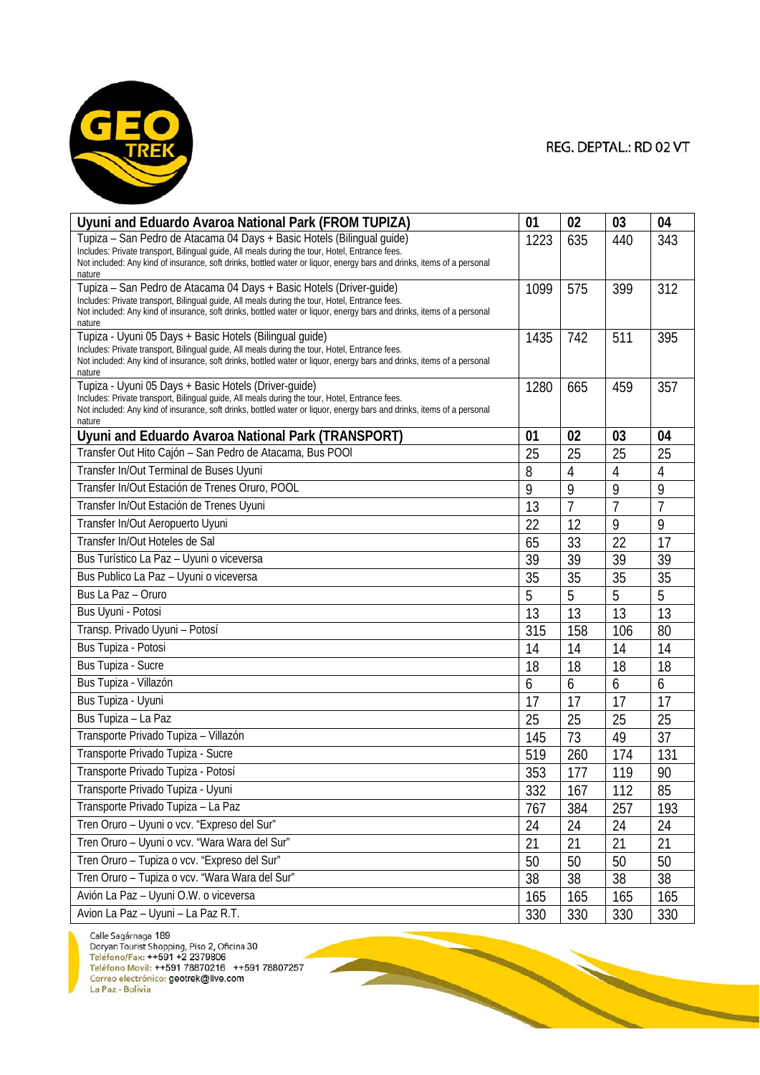

| Uyuni and Eduardo Avaroa National Park (FROM TUPIZA)                                                                                                                                                                     | 01   | 02             | 03             | 04             |
|--------------------------------------------------------------------------------------------------------------------------------------------------------------------------------------------------------------------------|------|----------------|----------------|----------------|
| Tupiza - San Pedro de Atacama 04 Days + Basic Hotels (Bilingual guide)                                                                                                                                                   | 1223 | 635            | 440            | 343            |
| Includes: Private transport, Bilingual guide, All meals during the tour, Hotel, Entrance fees.<br>Not included: Any kind of insurance, soft drinks, bottled water or liquor, energy bars and drinks, items of a personal |      |                |                |                |
| nature                                                                                                                                                                                                                   |      |                |                |                |
| Tupiza - San Pedro de Atacama 04 Days + Basic Hotels (Driver-guide)                                                                                                                                                      | 1099 | 575            | 399            | 312            |
| Includes: Private transport, Bilingual guide, All meals during the tour, Hotel, Entrance fees.<br>Not included: Any kind of insurance, soft drinks, bottled water or liquor, energy bars and drinks, items of a personal |      |                |                |                |
| nature                                                                                                                                                                                                                   |      |                |                |                |
| Tupiza - Uyuni 05 Days + Basic Hotels (Bilingual guide)<br>Includes: Private transport, Bilingual guide, All meals during the tour, Hotel, Entrance fees.                                                                | 1435 | 742            | 511            | 395            |
| Not included: Any kind of insurance, soft drinks, bottled water or liquor, energy bars and drinks, items of a personal                                                                                                   |      |                |                |                |
| nature<br>Tupiza - Uyuni 05 Days + Basic Hotels (Driver-guide)                                                                                                                                                           |      |                |                |                |
| Includes: Private transport, Bilingual guide, All meals during the tour, Hotel, Entrance fees.                                                                                                                           | 1280 | 665            | 459            | 357            |
| Not included: Any kind of insurance, soft drinks, bottled water or liquor, energy bars and drinks, items of a personal                                                                                                   |      |                |                |                |
| nature<br>Uyuni and Eduardo Avaroa National Park (TRANSPORT)                                                                                                                                                             | 01   | 02             | 03             | 04             |
| Transfer Out Hito Cajón - San Pedro de Atacama, Bus POOI                                                                                                                                                                 | 25   | 25             | 25             | 25             |
| Transfer In/Out Terminal de Buses Uyuni                                                                                                                                                                                  | 8    | $\overline{4}$ | $\overline{4}$ | $\overline{4}$ |
| Transfer In/Out Estación de Trenes Oruro, POOL                                                                                                                                                                           | 9    | 9              | 9              | 9              |
| Transfer In/Out Estación de Trenes Uyuni                                                                                                                                                                                 | 13   | $\overline{7}$ | 7              | $\overline{7}$ |
| Transfer In/Out Aeropuerto Uyuni                                                                                                                                                                                         | 22   | 12             | 9              | 9              |
| Transfer In/Out Hoteles de Sal                                                                                                                                                                                           | 65   | 33             | 22             | 17             |
| Bus Turístico La Paz - Uyuni o viceversa                                                                                                                                                                                 | 39   | 39             | 39             | 39             |
| Bus Publico La Paz - Uyuni o viceversa                                                                                                                                                                                   | 35   | 35             | 35             | 35             |
| Bus La Paz - Oruro                                                                                                                                                                                                       | 5    | 5              | 5              | 5              |
| Bus Uyuni - Potosi                                                                                                                                                                                                       | 13   | 13             | 13             | 13             |
| Transp. Privado Uyuni - Potosí                                                                                                                                                                                           | 315  | 158            | 106            | 80             |
| Bus Tupiza - Potosi                                                                                                                                                                                                      | 14   | 14             | 14             | 14             |
| Bus Tupiza - Sucre                                                                                                                                                                                                       | 18   | 18             | 18             | 18             |
| Bus Tupiza - Villazón                                                                                                                                                                                                    | 6    | 6              | 6              | 6              |
| Bus Tupiza - Uyuni                                                                                                                                                                                                       | 17   | 17             | 17             | 17             |
| Bus Tupiza - La Paz                                                                                                                                                                                                      | 25   | 25             | 25             | 25             |
| Transporte Privado Tupiza - Villazón                                                                                                                                                                                     | 145  | 73             | 49             | 37             |
| Transporte Privado Tupiza - Sucre                                                                                                                                                                                        | 519  | 260            | 174            | 131            |
| Transporte Privado Tupiza - Potosí                                                                                                                                                                                       | 353  | 177            | 119            | 90             |
| Transporte Privado Tupiza - Uyuni                                                                                                                                                                                        | 332  | 167            | 112            | 85             |
| Transporte Privado Tupiza - La Paz                                                                                                                                                                                       | 767  | 384            | 257            | 193            |
| Tren Oruro - Uyuni o vcv. "Expreso del Sur"                                                                                                                                                                              | 24   | 24             | 24             | 24             |
| Tren Oruro - Uyuni o vcv. "Wara Wara del Sur"                                                                                                                                                                            | 21   | 21             | 21             | 21             |
| Tren Oruro - Tupiza o vcv. "Expreso del Sur"                                                                                                                                                                             | 50   | 50             | 50             | 50             |
| Tren Oruro - Tupiza o vcv. "Wara Wara del Sur"                                                                                                                                                                           | 38   | 38             | 38             | 38             |
| Avión La Paz - Uyuni O.W. o viceversa                                                                                                                                                                                    | 165  | 165            | 165            | 165            |
| Avion La Paz - Uyuni - La Paz R.T.                                                                                                                                                                                       | 330  | 330            | 330            | 330            |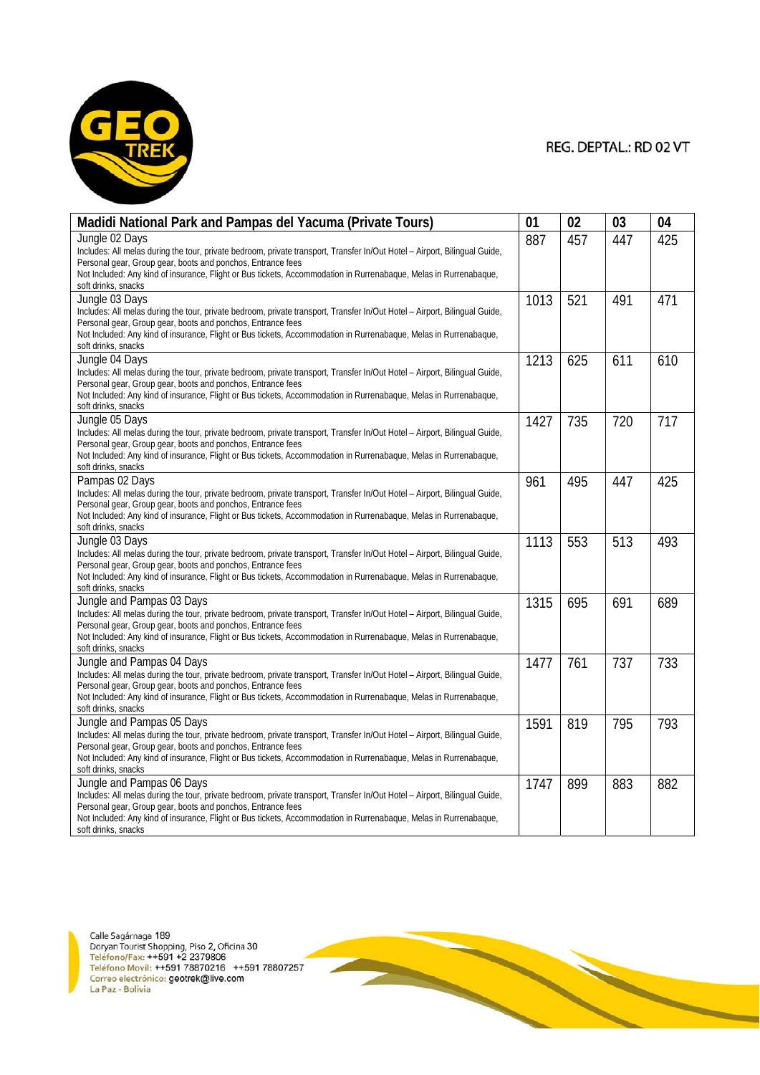

**CONTRACTOR** 

| Madidi National Park and Pampas del Yacuma (Private Tours)                                                                                                                                                                                                                                                                                                         | 01   | 02  | 03  | 04  |
|--------------------------------------------------------------------------------------------------------------------------------------------------------------------------------------------------------------------------------------------------------------------------------------------------------------------------------------------------------------------|------|-----|-----|-----|
| Jungle 02 Days<br>Includes: All melas during the tour, private bedroom, private transport, Transfer In/Out Hotel - Airport, Bilingual Guide,<br>Personal gear, Group gear, boots and ponchos, Entrance fees<br>Not Included: Any kind of insurance, Flight or Bus tickets, Accommodation in Rurrenabaque, Melas in Rurrenabaque,<br>soft drinks, snacks            | 887  | 457 | 447 | 425 |
| Jungle 03 Days<br>Includes: All melas during the tour, private bedroom, private transport, Transfer In/Out Hotel - Airport, Bilingual Guide,<br>Personal gear, Group gear, boots and ponchos, Entrance fees<br>Not Included: Any kind of insurance, Flight or Bus tickets, Accommodation in Rurrenabaque, Melas in Rurrenabaque,<br>soft drinks, snacks            | 1013 | 521 | 491 | 471 |
| Jungle 04 Days<br>Includes: All melas during the tour, private bedroom, private transport, Transfer In/Out Hotel - Airport, Bilingual Guide,<br>Personal gear, Group gear, boots and ponchos, Entrance fees<br>Not Included: Any kind of insurance, Flight or Bus tickets, Accommodation in Rurrenabaque, Melas in Rurrenabaque,<br>soft drinks, snacks            | 1213 | 625 | 611 | 610 |
| Jungle 05 Days<br>Includes: All melas during the tour, private bedroom, private transport, Transfer In/Out Hotel – Airport, Bilingual Guide,<br>Personal gear, Group gear, boots and ponchos, Entrance fees<br>Not Included: Any kind of insurance, Flight or Bus tickets, Accommodation in Rurrenabaque, Melas in Rurrenabaque,<br>soft drinks, snacks            | 1427 | 735 | 720 | 717 |
| Pampas 02 Days<br>Includes: All melas during the tour, private bedroom, private transport, Transfer In/Out Hotel - Airport, Bilingual Guide,<br>Personal gear, Group gear, boots and ponchos, Entrance fees<br>Not Included: Any kind of insurance, Flight or Bus tickets, Accommodation in Rurrenabaque, Melas in Rurrenabaque,<br>soft drinks, snacks            | 961  | 495 | 447 | 425 |
| Jungle 03 Days<br>Includes: All melas during the tour, private bedroom, private transport, Transfer In/Out Hotel - Airport, Bilingual Guide,<br>Personal gear, Group gear, boots and ponchos, Entrance fees<br>Not Included: Any kind of insurance, Flight or Bus tickets, Accommodation in Rurrenabaque, Melas in Rurrenabaque,<br>soft drinks, snacks            | 1113 | 553 | 513 | 493 |
| Jungle and Pampas 03 Days<br>Includes: All melas during the tour, private bedroom, private transport, Transfer In/Out Hotel - Airport, Bilingual Guide,<br>Personal gear, Group gear, boots and ponchos, Entrance fees<br>Not Included: Any kind of insurance, Flight or Bus tickets, Accommodation in Rurrenabaque, Melas in Rurrenabaque,<br>soft drinks, snacks | 1315 | 695 | 691 | 689 |
| Jungle and Pampas 04 Days<br>Includes: All melas during the tour, private bedroom, private transport, Transfer In/Out Hotel - Airport, Bilingual Guide,<br>Personal gear, Group gear, boots and ponchos, Entrance fees<br>Not Included: Any kind of insurance, Flight or Bus tickets, Accommodation in Rurrenabaque, Melas in Rurrenabaque,<br>soft drinks, snacks | 1477 | 761 | 737 | 733 |
| Jungle and Pampas 05 Days<br>Includes: All melas during the tour, private bedroom, private transport, Transfer In/Out Hotel - Airport, Bilingual Guide,<br>Personal gear, Group gear, boots and ponchos, Entrance fees<br>Not Included: Any kind of insurance, Flight or Bus tickets, Accommodation in Rurrenabaque, Melas in Rurrenabaque,<br>soft drinks, snacks | 1591 | 819 | 795 | 793 |
| Jungle and Pampas 06 Days<br>Includes: All melas during the tour, private bedroom, private transport, Transfer In/Out Hotel - Airport, Bilingual Guide,<br>Personal gear, Group gear, boots and ponchos, Entrance fees<br>Not Included: Any kind of insurance, Flight or Bus tickets, Accommodation in Rurrenabaque, Melas in Rurrenabaque,<br>soft drinks, snacks | 1747 | 899 | 883 | 882 |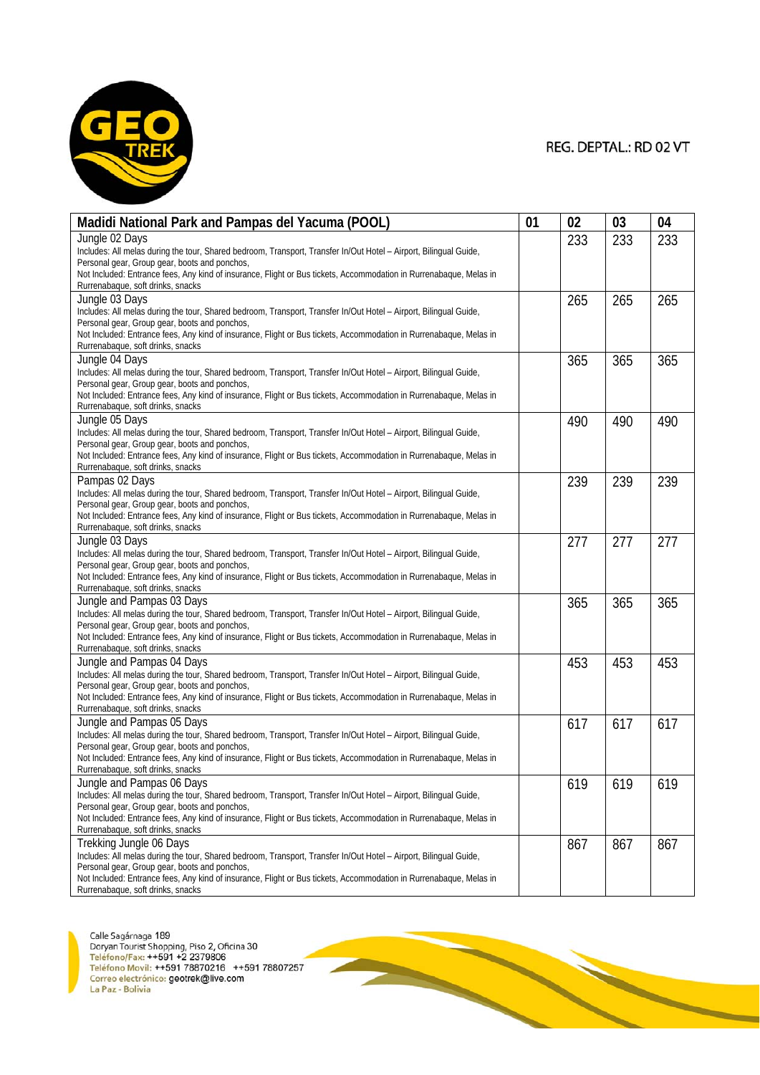

| Madidi National Park and Pampas del Yacuma (POOL)                                                                                                                   | 01 | 02  | 03  | 04  |
|---------------------------------------------------------------------------------------------------------------------------------------------------------------------|----|-----|-----|-----|
| Jungle 02 Days                                                                                                                                                      |    | 233 | 233 | 233 |
| Includes: All melas during the tour, Shared bedroom, Transport, Transfer In/Out Hotel - Airport, Bilingual Guide,                                                   |    |     |     |     |
| Personal gear, Group gear, boots and ponchos,                                                                                                                       |    |     |     |     |
| Not Included: Entrance fees, Any kind of insurance, Flight or Bus tickets, Accommodation in Rurrenabaque, Melas in                                                  |    |     |     |     |
| Rurrenabaque, soft drinks, snacks                                                                                                                                   |    |     |     |     |
| Jungle 03 Days                                                                                                                                                      |    | 265 | 265 | 265 |
| Includes: All melas during the tour, Shared bedroom, Transport, Transfer In/Out Hotel - Airport, Bilingual Guide,                                                   |    |     |     |     |
| Personal gear, Group gear, boots and ponchos,                                                                                                                       |    |     |     |     |
| Not Included: Entrance fees, Any kind of insurance, Flight or Bus tickets, Accommodation in Rurrenabaque, Melas in                                                  |    |     |     |     |
| Rurrenabaque, soft drinks, snacks                                                                                                                                   |    |     |     |     |
| Jungle 04 Days                                                                                                                                                      |    | 365 | 365 | 365 |
| Includes: All melas during the tour, Shared bedroom, Transport, Transfer In/Out Hotel - Airport, Bilingual Guide,                                                   |    |     |     |     |
| Personal gear, Group gear, boots and ponchos,                                                                                                                       |    |     |     |     |
| Not Included: Entrance fees, Any kind of insurance, Flight or Bus tickets, Accommodation in Rurrenabaque, Melas in                                                  |    |     |     |     |
| Rurrenabaque, soft drinks, snacks                                                                                                                                   |    |     |     |     |
| Jungle 05 Days                                                                                                                                                      |    | 490 | 490 | 490 |
| Includes: All melas during the tour, Shared bedroom, Transport, Transfer In/Out Hotel - Airport, Bilingual Guide,                                                   |    |     |     |     |
| Personal gear, Group gear, boots and ponchos,                                                                                                                       |    |     |     |     |
| Not Included: Entrance fees, Any kind of insurance, Flight or Bus tickets, Accommodation in Rurrenabaque, Melas in                                                  |    |     |     |     |
| Rurrenabaque, soft drinks, snacks                                                                                                                                   |    |     |     |     |
| Pampas 02 Days                                                                                                                                                      |    | 239 | 239 | 239 |
| Includes: All melas during the tour, Shared bedroom, Transport, Transfer In/Out Hotel - Airport, Bilingual Guide,                                                   |    |     |     |     |
| Personal gear, Group gear, boots and ponchos,                                                                                                                       |    |     |     |     |
| Not Included: Entrance fees, Any kind of insurance, Flight or Bus tickets, Accommodation in Rurrenabaque, Melas in                                                  |    |     |     |     |
| Rurrenabaque, soft drinks, snacks                                                                                                                                   |    |     |     |     |
| Jungle 03 Days                                                                                                                                                      |    | 277 | 277 | 277 |
| Includes: All melas during the tour, Shared bedroom, Transport, Transfer In/Out Hotel - Airport, Bilingual Guide,                                                   |    |     |     |     |
| Personal gear, Group gear, boots and ponchos,                                                                                                                       |    |     |     |     |
| Not Included: Entrance fees, Any kind of insurance, Flight or Bus tickets, Accommodation in Rurrenabaque, Melas in                                                  |    |     |     |     |
| Rurrenabaque, soft drinks, snacks                                                                                                                                   |    |     |     |     |
| Jungle and Pampas 03 Days                                                                                                                                           |    | 365 | 365 | 365 |
| Includes: All melas during the tour, Shared bedroom, Transport, Transfer In/Out Hotel - Airport, Bilingual Guide,                                                   |    |     |     |     |
| Personal gear, Group gear, boots and ponchos,                                                                                                                       |    |     |     |     |
| Not Included: Entrance fees, Any kind of insurance, Flight or Bus tickets, Accommodation in Rurrenabaque, Melas in                                                  |    |     |     |     |
| Rurrenabaque, soft drinks, snacks                                                                                                                                   |    |     |     |     |
| Jungle and Pampas 04 Days                                                                                                                                           |    | 453 | 453 | 453 |
| Includes: All melas during the tour, Shared bedroom, Transport, Transfer In/Out Hotel - Airport, Bilingual Guide,                                                   |    |     |     |     |
| Personal gear, Group gear, boots and ponchos,                                                                                                                       |    |     |     |     |
| Not Included: Entrance fees, Any kind of insurance, Flight or Bus tickets, Accommodation in Rurrenabaque, Melas in                                                  |    |     |     |     |
| Rurrenabaque, soft drinks, snacks                                                                                                                                   |    |     |     |     |
| Jungle and Pampas 05 Days                                                                                                                                           |    | 617 | 617 | 617 |
| Includes: All melas during the tour, Shared bedroom, Transport, Transfer In/Out Hotel - Airport, Bilingual Guide,                                                   |    |     |     |     |
| Personal gear, Group gear, boots and ponchos,                                                                                                                       |    |     |     |     |
| Not Included: Entrance fees, Any kind of insurance, Flight or Bus tickets, Accommodation in Rurrenabaque, Melas in<br>Rurrenabaque, soft drinks, snacks             |    |     |     |     |
|                                                                                                                                                                     |    |     |     |     |
| Jungle and Pampas 06 Days                                                                                                                                           |    | 619 | 619 | 619 |
| Includes: All melas during the tour, Shared bedroom, Transport, Transfer In/Out Hotel - Airport, Bilingual Guide,                                                   |    |     |     |     |
| Personal gear, Group gear, boots and ponchos,<br>Not Included: Entrance fees, Any kind of insurance, Flight or Bus tickets, Accommodation in Rurrenabague, Melas in |    |     |     |     |
| Rurrenabaque, soft drinks, snacks                                                                                                                                   |    |     |     |     |
|                                                                                                                                                                     |    |     |     |     |
| Trekking Jungle 06 Days                                                                                                                                             |    | 867 | 867 | 867 |
| Includes: All melas during the tour, Shared bedroom, Transport, Transfer In/Out Hotel - Airport, Bilingual Guide,<br>Personal gear, Group gear, boots and ponchos,  |    |     |     |     |
| Not Included: Entrance fees, Any kind of insurance, Flight or Bus tickets, Accommodation in Rurrenabaque, Melas in                                                  |    |     |     |     |
| Rurrenabaque, soft drinks, snacks                                                                                                                                   |    |     |     |     |